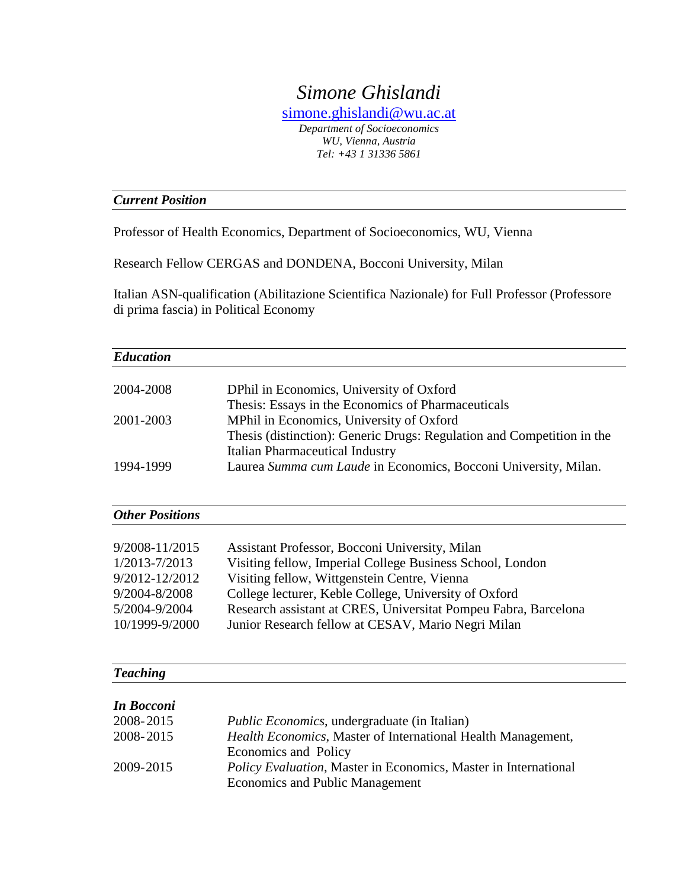# *Simone Ghislandi*

[simone.ghislandi@wu.ac.at](mailto:simone.ghislandi@wu.ac.at) *Department of Socioeconomics WU, Vienna, Austria Tel: [+43 1 31336 5861](tel:+43%201%2031336%205861)*

# *Current Position*

Professor of Health Economics, Department of Socioeconomics, WU, Vienna

Research Fellow CERGAS and DONDENA, Bocconi University, Milan

Italian ASN-qualification (Abilitazione Scientifica Nazionale) for Full Professor (Professore di prima fascia) in Political Economy

| <b>Education</b>       |                                                                                                           |
|------------------------|-----------------------------------------------------------------------------------------------------------|
|                        |                                                                                                           |
| 2004-2008              | DPhil in Economics, University of Oxford                                                                  |
|                        | Thesis: Essays in the Economics of Pharmaceuticals                                                        |
| 2001-2003              | MPhil in Economics, University of Oxford                                                                  |
|                        | Thesis (distinction): Generic Drugs: Regulation and Competition in the                                    |
|                        | <b>Italian Pharmaceutical Industry</b>                                                                    |
| 1994-1999              | Laurea Summa cum Laude in Economics, Bocconi University, Milan.                                           |
|                        |                                                                                                           |
| <b>Other Positions</b> |                                                                                                           |
|                        |                                                                                                           |
| 9/2008-11/2015         | Assistant Professor, Bocconi University, Milan                                                            |
| 1/2013-7/2013          | Visiting fellow, Imperial College Business School, London                                                 |
| 9/2012-12/2012         | Visiting fellow, Wittgenstein Centre, Vienna                                                              |
| 9/2004-8/2008          | College lecturer, Keble College, University of Oxford                                                     |
| 5/2004-9/2004          | Research assistant at CRES, Universitat Pompeu Fabra, Barcelona                                           |
| 10/1999-9/2000         | Junior Research fellow at CESAV, Mario Negri Milan                                                        |
| <b>Teaching</b>        |                                                                                                           |
|                        |                                                                                                           |
| <b>In Bocconi</b>      |                                                                                                           |
| 2008-2015              | <i>Public Economics</i> , undergraduate (in Italian)                                                      |
| 2008-2015              | Health Economics, Master of International Health Management,<br>Economics and Policy                      |
| 2009-2015              | Policy Evaluation, Master in Economics, Master in International<br><b>Economics and Public Management</b> |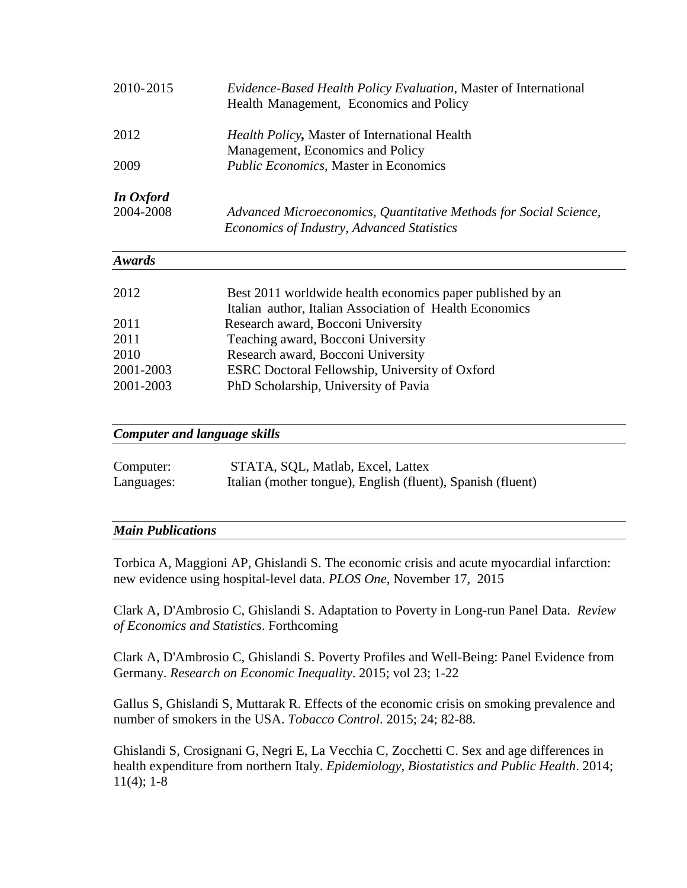| 2010-2015     | <i>Evidence-Based Health Policy Evaluation, Master of International</i><br>Health Management, Economics and Policy |  |
|---------------|--------------------------------------------------------------------------------------------------------------------|--|
| 2012          | <i>Health Policy</i> , Master of International Health                                                              |  |
|               | Management, Economics and Policy                                                                                   |  |
| 2009          | <i>Public Economics</i> , Master in Economics                                                                      |  |
| In Oxford     |                                                                                                                    |  |
| 2004-2008     | Advanced Microeconomics, Quantitative Methods for Social Science,<br>Economics of Industry, Advanced Statistics    |  |
| <b>Awards</b> |                                                                                                                    |  |
| 2012          | Best 2011 worldwide health economics paper published by an                                                         |  |
|               | Italian author, Italian Association of Health Economics                                                            |  |
| 2011          | Research award, Bocconi University                                                                                 |  |
| 2011          | Teaching award, Bocconi University                                                                                 |  |
| 2010          | Research award, Bocconi University                                                                                 |  |
| 2001-2003     | ESRC Doctoral Fellowship, University of Oxford                                                                     |  |
| 2001-2003     | PhD Scholarship, University of Pavia                                                                               |  |

## *Computer and language skills*

| Computer:  | STATA, SQL, Matlab, Excel, Lattex                           |
|------------|-------------------------------------------------------------|
| Languages: | Italian (mother tongue), English (fluent), Spanish (fluent) |

# *Main Publications*

Torbica A, Maggioni AP, Ghislandi S. The economic crisis and acute myocardial infarction: new evidence using hospital-level data. *PLOS One*, November 17, 2015

Clark A, D'Ambrosio C, Ghislandi S. Adaptation to Poverty in Long-run Panel Data. *Review of Economics and Statistics*. Forthcoming

Clark A, D'Ambrosio C, Ghislandi S. Poverty Profiles and Well-Being: Panel Evidence from Germany. *Research on Economic Inequality*. 2015; vol 23; 1-22

Gallus S, Ghislandi S, Muttarak R. Effects of the economic crisis on smoking prevalence and number of smokers in the USA. *Tobacco Control*. 2015; 24; 82-88.

Ghislandi S, Crosignani G, Negri E, La Vecchia C, Zocchetti C. Sex and age differences in health expenditure from northern Italy. *Epidemiology, Biostatistics and Public Health*. 2014;  $11(4)$ ; 1-8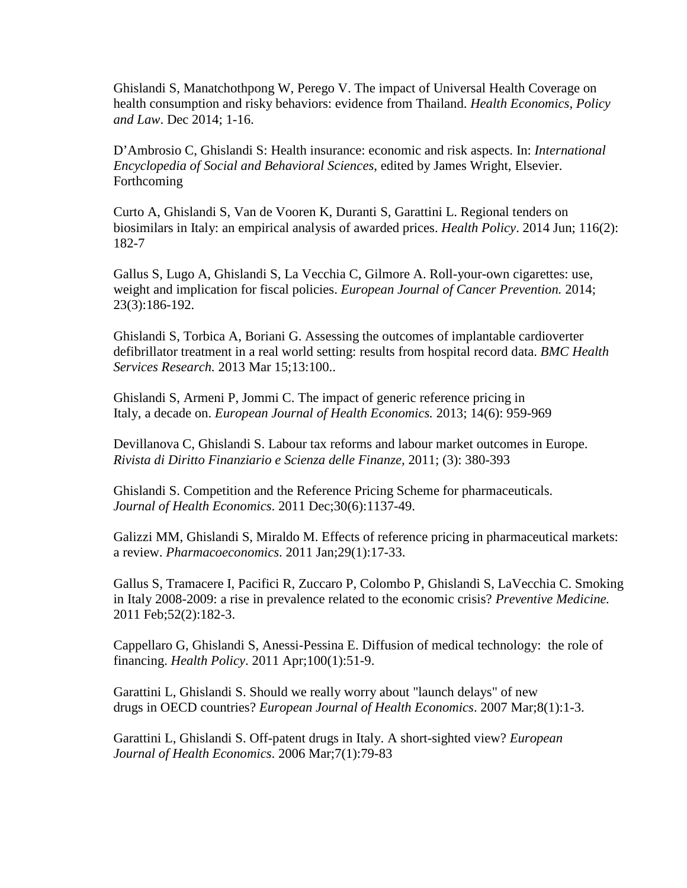Ghislandi S, Manatchothpong W, Perego V. The impact of Universal Health Coverage on health consumption and risky behaviors: evidence from Thailand. *Health Economics, Policy and Law*. Dec 2014; 1-16.

D'Ambrosio C, Ghislandi S: Health insurance: economic and risk aspects. In: *International Encyclopedia of Social and Behavioral Sciences*, edited by James Wright, Elsevier. Forthcoming

Curto A, Ghislandi S, Van de Vooren K, Duranti S, Garattini L. Regional tenders on biosimilars in Italy: an empirical analysis of awarded prices. *Health Policy*. 2014 Jun; 116(2): 182-7

Gallus S, Lugo A, Ghislandi S, La Vecchia C, Gilmore A. Roll-your-own cigarettes: use, weight and implication for fiscal policies. *European Journal of Cancer Prevention.* 2014; 23(3):186-192.

Ghislandi S, Torbica A, Boriani G. Assessing the outcomes of implantable cardioverter defibrillator treatment in a real world setting: results from hospital record data. *BMC Health Services Research.* 2013 Mar 15;13:100..

Ghislandi S, Armeni P, Jommi C. The impact of generic reference pricing in Italy, a decade on. *European Journal of Health Economics.* 2013; 14(6): 959-969

Devillanova C, Ghislandi S. Labour tax reforms and labour market outcomes in Europe. *Rivista di Diritto Finanziario e Scienza delle Finanze,* 2011; (3): 380-393

Ghislandi S. Competition and the Reference Pricing Scheme for pharmaceuticals. *Journal of Health Economics*. 2011 Dec;30(6):1137-49.

Galizzi MM, Ghislandi S, Miraldo M. Effects of reference pricing in pharmaceutical markets: a review. *Pharmacoeconomics*. 2011 Jan;29(1):17-33.

Gallus S, Tramacere I, Pacifici R, Zuccaro P, Colombo P, Ghislandi S, LaVecchia C. Smoking in Italy 2008-2009: a rise in prevalence related to the economic crisis? *Preventive Medicine.* 2011 Feb;52(2):182-3.

Cappellaro G, Ghislandi S, Anessi-Pessina E. Diffusion of medical technology: the role of financing. *Health Policy*. 2011 Apr;100(1):51-9.

Garattini L, Ghislandi S. Should we really worry about "launch delays" of new drugs in OECD countries? *European Journal of Health Economics*. 2007 Mar;8(1):1-3.

Garattini L, Ghislandi S. Off-patent drugs in Italy. A short-sighted view? *European Journal of Health Economics*. 2006 Mar;7(1):79-83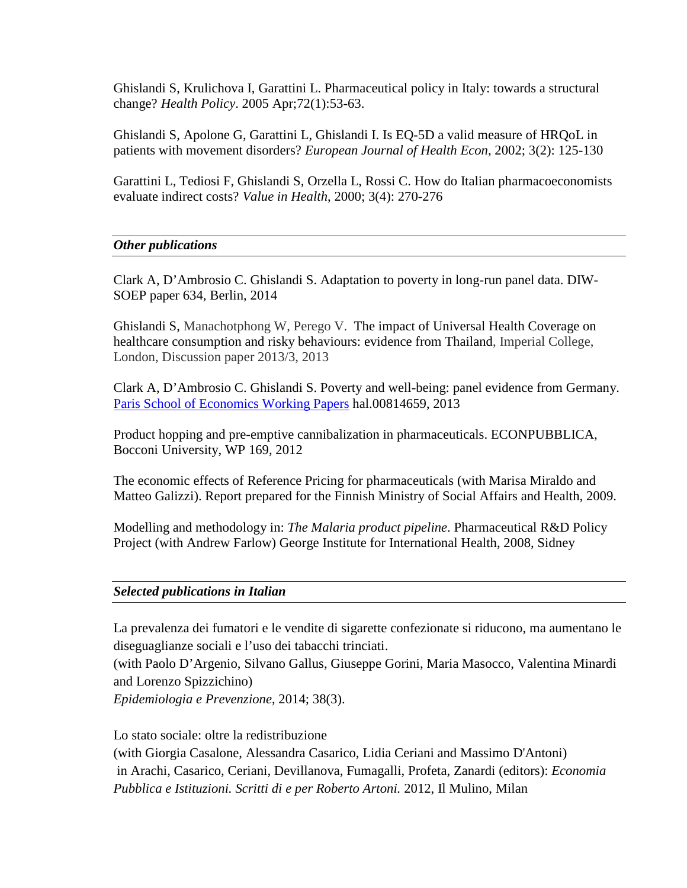Ghislandi S, Krulichova I, Garattini L. Pharmaceutical policy in Italy: towards a structural change? *Health Policy*. 2005 Apr;72(1):53-63.

Ghislandi S, Apolone G, Garattini L, Ghislandi I. Is EQ-5D a valid measure of HRQoL in patients with movement disorders? *European Journal of Health Econ*, 2002; 3(2): 125-130

Garattini L, Tediosi F, Ghislandi S, Orzella L, Rossi C. How do Italian pharmacoeconomists evaluate indirect costs? *Value in Health*, 2000; 3(4): 270-276

## *Other publications*

Clark A, D'Ambrosio C. Ghislandi S. Adaptation to poverty in long-run panel data. DIW-SOEP paper 634, Berlin, 2014

Ghislandi S, Manachotphong W, Perego V. The impact of Universal Health Coverage on healthcare consumption and risky behaviours: evidence from Thailand, Imperial College, London, Discussion paper 2013/3, 2013

Clark A, D'Ambrosio C. Ghislandi S. Poverty and well-being: panel evidence from Germany. [Paris School of Economics](http://ideas.repec.org/s/hal/psewpa.html) Working Papers hal.00814659, 2013

Product hopping and pre-emptive cannibalization in pharmaceuticals. ECONPUBBLICA, Bocconi University, WP 169, 2012

The economic effects of Reference Pricing for pharmaceuticals (with Marisa Miraldo and Matteo Galizzi). Report prepared for the Finnish Ministry of Social Affairs and Health, 2009.

Modelling and methodology in: *The Malaria product pipeline*. Pharmaceutical R&D Policy Project (with Andrew Farlow) George Institute for International Health, 2008, Sidney

## *Selected publications in Italian*

La prevalenza dei fumatori e le vendite di sigarette confezionate si riducono, ma aumentano le diseguaglianze sociali e l'uso dei tabacchi trinciati.

(with Paolo D'Argenio, Silvano Gallus, Giuseppe Gorini, Maria Masocco, Valentina Minardi and Lorenzo Spizzichino)

*Epidemiologia e Prevenzione*, 2014; 38(3).

Lo stato sociale: oltre la redistribuzione (with Giorgia Casalone, Alessandra Casarico, Lidia Ceriani and Massimo D'Antoni) in Arachi, Casarico, Ceriani, Devillanova, Fumagalli, Profeta, Zanardi (editors): *Economia Pubblica e Istituzioni. Scritti di e per Roberto Artoni.* 2012, Il Mulino, Milan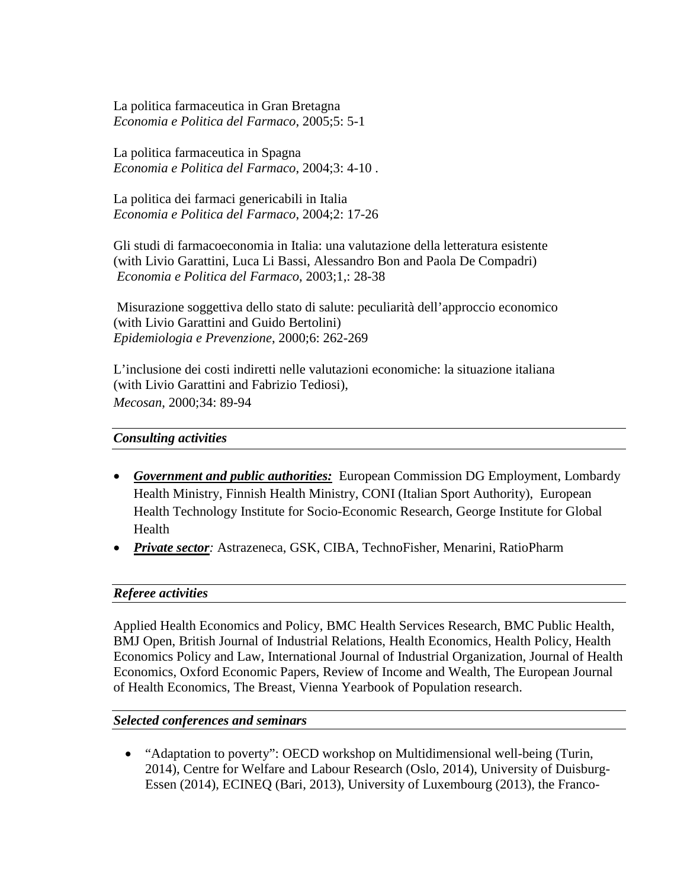La politica farmaceutica in Gran Bretagna *Economia e Politica del Farmaco*, 2005;5: 5-1

La politica farmaceutica in Spagna *Economia e Politica del Farmaco*, 2004;3: 4-10 .

La politica dei farmaci genericabili in Italia *Economia e Politica del Farmaco*, 2004;2: 17-26

Gli studi di farmacoeconomia in Italia: una valutazione della letteratura esistente (with Livio Garattini, Luca Li Bassi, Alessandro Bon and Paola De Compadri) *Economia e Politica del Farmaco*, 2003;1,: 28-38

Misurazione soggettiva dello stato di salute: peculiarità dell'approccio economico (with Livio Garattini and Guido Bertolini) *Epidemiologia e Prevenzione*, 2000;6: 262-269

L'inclusione dei costi indiretti nelle valutazioni economiche: la situazione italiana (with Livio Garattini and Fabrizio Tediosi), *Mecosan*, 2000;34: 89-94

# *Consulting activities*

- *Government and public authorities:* European Commission DG Employment, Lombardy Health Ministry, Finnish Health Ministry, CONI (Italian Sport Authority), European Health Technology Institute for Socio-Economic Research, George Institute for Global Health
- *Private sector:* Astrazeneca, GSK, CIBA, TechnoFisher, Menarini, RatioPharm

# *Referee activities*

Applied Health Economics and Policy, BMC Health Services Research, BMC Public Health, BMJ Open, British Journal of Industrial Relations, Health Economics, Health Policy, Health Economics Policy and Law, International Journal of Industrial Organization, Journal of Health Economics, Oxford Economic Papers, Review of Income and Wealth, The European Journal of Health Economics, The Breast, Vienna Yearbook of Population research.

## *Selected conferences and seminars*

• "Adaptation to poverty": OECD workshop on Multidimensional well-being (Turin, 2014), Centre for Welfare and Labour Research (Oslo, 2014), University of Duisburg-Essen (2014), ECINEQ (Bari, 2013), University of Luxembourg (2013), the Franco-